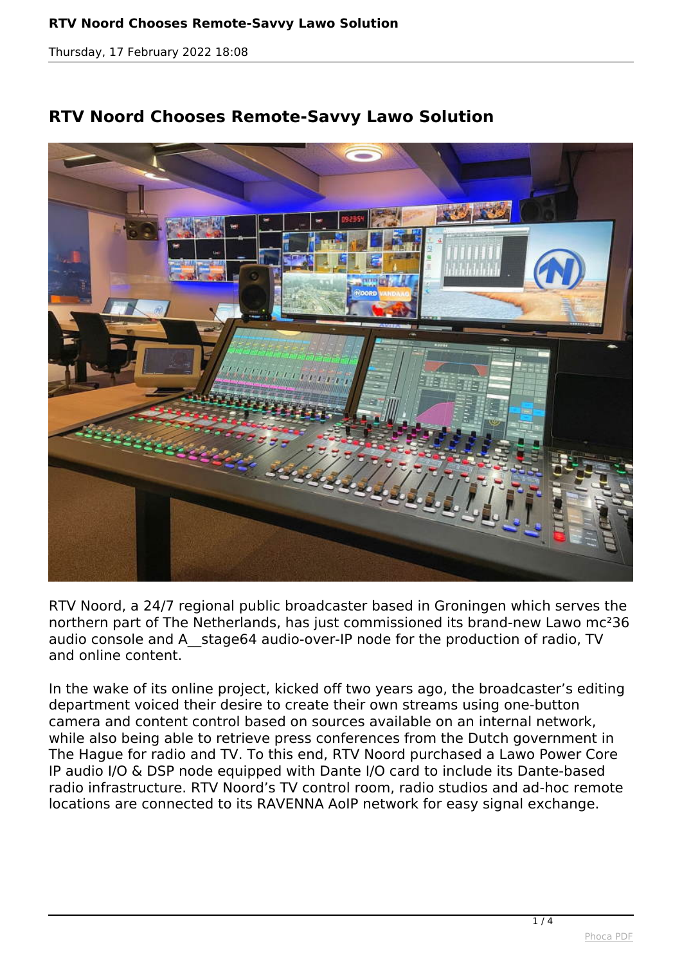*Thursday, 17 February 2022 18:08*





*RTV Noord, a 24/7 regional public broadcaster based in Groningen which serves the northern part of The Netherlands, has just commissioned its brand-new Lawo mc²36 audio console and A\_\_stage64 audio-over-IP node for the production of radio, TV and online content.*

*In the wake of its online project, kicked off two years ago, the broadcaster's editing department voiced their desire to create their own streams using one-button camera and content control based on sources available on an internal network, while also being able to retrieve press conferences from the Dutch government in The Hague for radio and TV. To this end, RTV Noord purchased a Lawo Power Core IP audio I/O & DSP node equipped with Dante I/O card to include its Dante-based radio infrastructure. RTV Noord's TV control room, radio studios and ad-hoc remote locations are connected to its RAVENNA AoIP network for easy signal exchange.*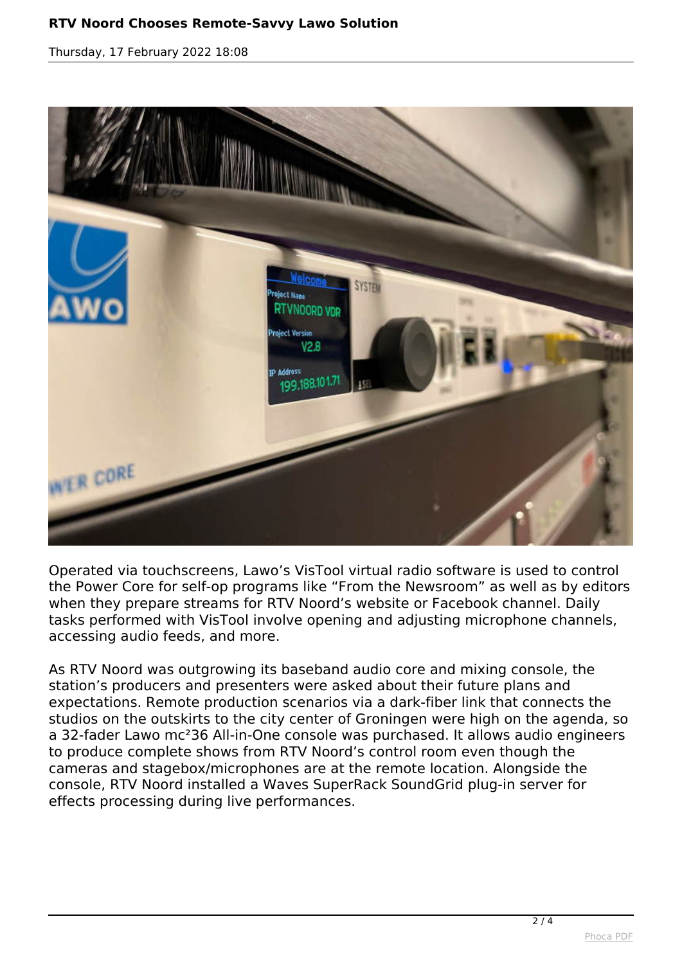*Thursday, 17 February 2022 18:08*



*Operated via touchscreens, Lawo's VisTool virtual radio software is used to control the Power Core for self-op programs like "From the Newsroom" as well as by editors when they prepare streams for RTV Noord's website or Facebook channel. Daily tasks performed with VisTool involve opening and adjusting microphone channels, accessing audio feeds, and more.*

*As RTV Noord was outgrowing its baseband audio core and mixing console, the station's producers and presenters were asked about their future plans and expectations. Remote production scenarios via a dark-fiber link that connects the studios on the outskirts to the city center of Groningen were high on the agenda, so a 32-fader Lawo mc²36 All-in-One console was purchased. It allows audio engineers to produce complete shows from RTV Noord's control room even though the cameras and stagebox/microphones are at the remote location. Alongside the console, RTV Noord installed a Waves SuperRack SoundGrid plug-in server for effects processing during live performances.*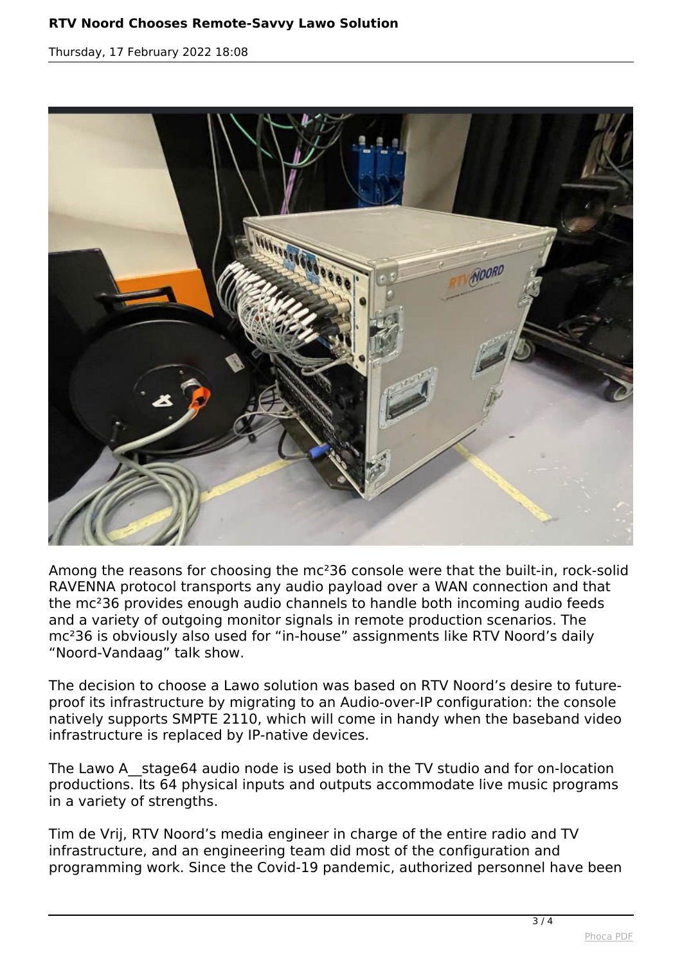*Thursday, 17 February 2022 18:08*



*Among the reasons for choosing the mc²36 console were that the built-in, rock-solid RAVENNA protocol transports any audio payload over a WAN connection and that the mc²36 provides enough audio channels to handle both incoming audio feeds and a variety of outgoing monitor signals in remote production scenarios. The mc²36 is obviously also used for "in-house" assignments like RTV Noord's daily "Noord-Vandaag" talk show.*

*The decision to choose a Lawo solution was based on RTV Noord's desire to futureproof its infrastructure by migrating to an Audio-over-IP configuration: the console natively supports SMPTE 2110, which will come in handy when the baseband video infrastructure is replaced by IP-native devices.*

*The Lawo A\_\_stage64 audio node is used both in the TV studio and for on-location productions. Its 64 physical inputs and outputs accommodate live music programs in a variety of strengths.*

*Tim de Vrij, RTV Noord's media engineer in charge of the entire radio and TV infrastructure, and an engineering team did most of the configuration and programming work. Since the Covid-19 pandemic, authorized personnel have been*